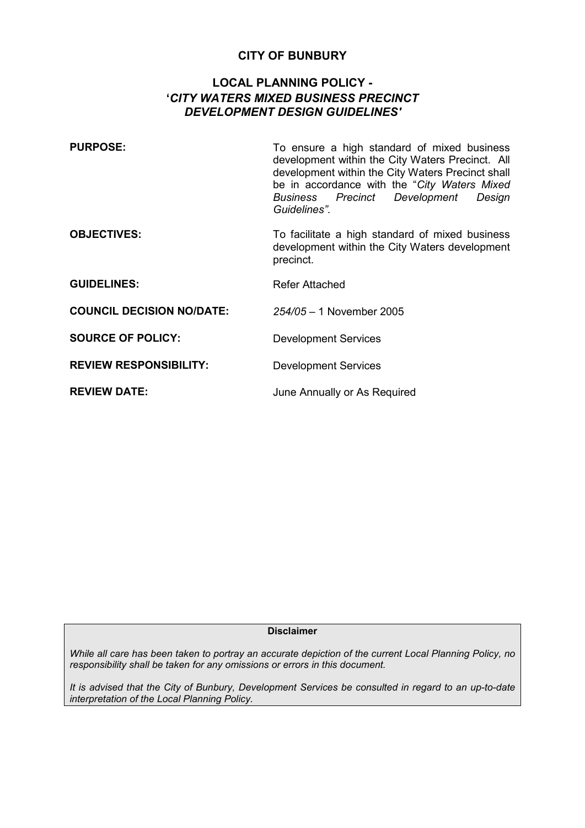# **CITY OF BUNBURY**

# **LOCAL PLANNING POLICY - '***CITY WATERS MIXED BUSINESS PRECINCT DEVELOPMENT DESIGN GUIDELINES'*

| <b>PURPOSE:</b>                  | To ensure a high standard of mixed business<br>development within the City Waters Precinct. All<br>development within the City Waters Precinct shall<br>be in accordance with the "City Waters Mixed<br><b>Business Precinct Development</b><br>Design<br>Guidelines". |
|----------------------------------|------------------------------------------------------------------------------------------------------------------------------------------------------------------------------------------------------------------------------------------------------------------------|
| <b>OBJECTIVES:</b>               | To facilitate a high standard of mixed business<br>development within the City Waters development<br>precinct.                                                                                                                                                         |
| <b>GUIDELINES:</b>               | Refer Attached                                                                                                                                                                                                                                                         |
| <b>COUNCIL DECISION NO/DATE:</b> | $254/05 - 1$ November 2005                                                                                                                                                                                                                                             |
| <b>SOURCE OF POLICY:</b>         | <b>Development Services</b>                                                                                                                                                                                                                                            |
| <b>REVIEW RESPONSIBILITY:</b>    | <b>Development Services</b>                                                                                                                                                                                                                                            |
| <b>REVIEW DATE:</b>              | June Annually or As Required                                                                                                                                                                                                                                           |

**Disclaimer** 

*While all care has been taken to portray an accurate depiction of the current Local Planning Policy, no responsibility shall be taken for any omissions or errors in this document.* 

*It is advised that the City of Bunbury, Development Services be consulted in regard to an up-to-date interpretation of the Local Planning Policy.*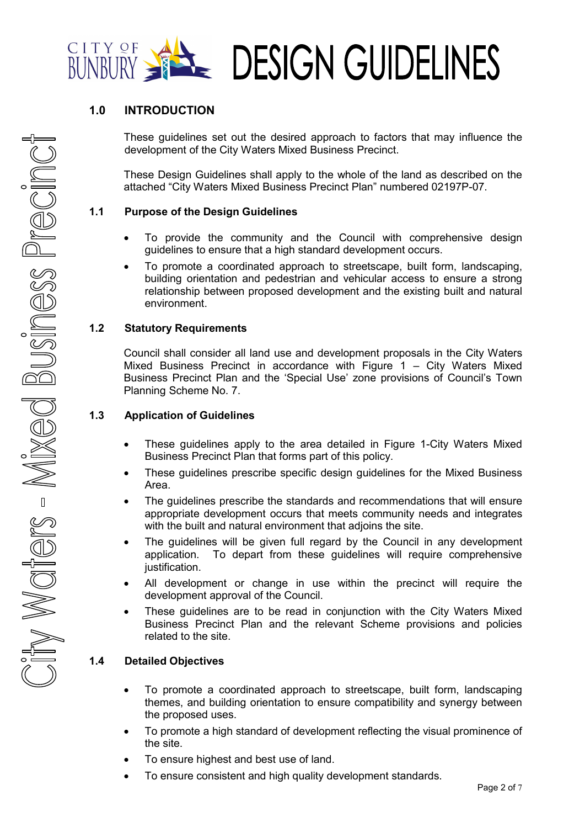

# **1.0 INTRODUCTION**

These guidelines set out the desired approach to factors that may influence the development of the City Waters Mixed Business Precinct.

 These Design Guidelines shall apply to the whole of the land as described on the attached "City Waters Mixed Business Precinct Plan" numbered 02197P-07.

#### **1.1 Purpose of the Design Guidelines**

- To provide the community and the Council with comprehensive design guidelines to ensure that a high standard development occurs.
- To promote a coordinated approach to streetscape, built form, landscaping, building orientation and pedestrian and vehicular access to ensure a strong relationship between proposed development and the existing built and natural environment.

#### **1.2 Statutory Requirements**

 Council shall consider all land use and development proposals in the City Waters Mixed Business Precinct in accordance with Figure 1 – City Waters Mixed Business Precinct Plan and the 'Special Use' zone provisions of Council's Town Planning Scheme No. 7.

## **1.3 Application of Guidelines**

- These guidelines apply to the area detailed in Figure 1-City Waters Mixed Business Precinct Plan that forms part of this policy.
- These guidelines prescribe specific design guidelines for the Mixed Business Area.
- The guidelines prescribe the standards and recommendations that will ensure appropriate development occurs that meets community needs and integrates with the built and natural environment that adjoins the site.
- The guidelines will be given full regard by the Council in any development application. To depart from these guidelines will require comprehensive justification.
- All development or change in use within the precinct will require the development approval of the Council.
- These guidelines are to be read in conjunction with the City Waters Mixed Business Precinct Plan and the relevant Scheme provisions and policies related to the site.

### **1.4 Detailed Objectives**

- To promote a coordinated approach to streetscape, built form, landscaping themes, and building orientation to ensure compatibility and synergy between the proposed uses.
- To promote a high standard of development reflecting the visual prominence of the site.
- To ensure highest and best use of land.
- To ensure consistent and high quality development standards.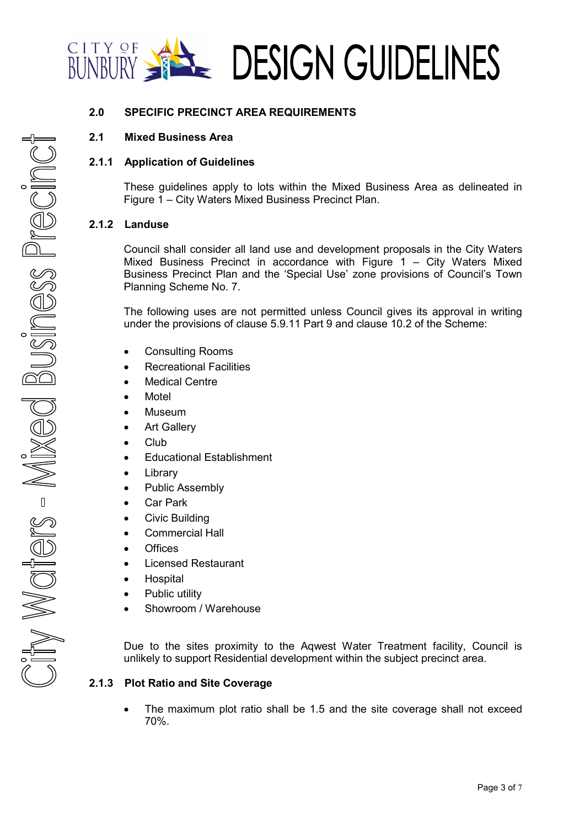

### **2.0 SPECIFIC PRECINCT AREA REQUIREMENTS**

### **2.1 Mixed Business Area**

#### **2.1.1 Application of Guidelines**

These guidelines apply to lots within the Mixed Business Area as delineated in Figure 1 – City Waters Mixed Business Precinct Plan.

#### **2.1.2 Landuse**

Council shall consider all land use and development proposals in the City Waters Mixed Business Precinct in accordance with Figure 1 – City Waters Mixed Business Precinct Plan and the 'Special Use' zone provisions of Council's Town Planning Scheme No. 7.

The following uses are not permitted unless Council gives its approval in writing under the provisions of clause 5.9.11 Part 9 and clause 10.2 of the Scheme:

- Consulting Rooms
- Recreational Facilities
- **Medical Centre**
- Motel
- Museum
- **Art Gallery**
- Club
- Educational Establishment
- Library
- Public Assembly
- Car Park
- Civic Building
- Commercial Hall
- Offices
- Licensed Restaurant
- **Hospital**
- Public utility
- Showroom / Warehouse

Due to the sites proximity to the Aqwest Water Treatment facility, Council is unlikely to support Residential development within the subject precinct area.

#### **2.1.3 Plot Ratio and Site Coverage**

• The maximum plot ratio shall be 1.5 and the site coverage shall not exceed 70%.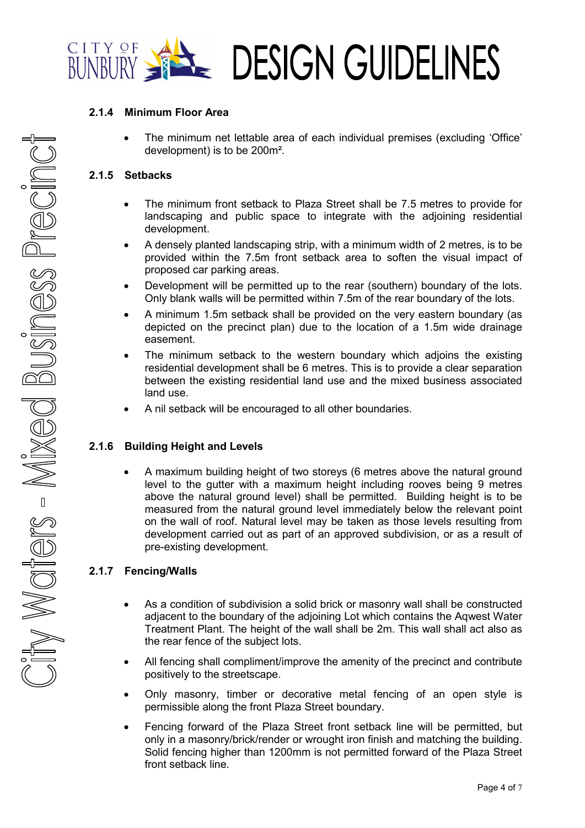

### **2.1.4 Minimum Floor Area**

• The minimum net lettable area of each individual premises (excluding 'Office' development) is to be 200m².

#### **2.1.5 Setbacks**

- The minimum front setback to Plaza Street shall be 7.5 metres to provide for landscaping and public space to integrate with the adjoining residential development.
- A densely planted landscaping strip, with a minimum width of 2 metres, is to be provided within the 7.5m front setback area to soften the visual impact of proposed car parking areas.
- Development will be permitted up to the rear (southern) boundary of the lots. Only blank walls will be permitted within 7.5m of the rear boundary of the lots.
- A minimum 1.5m setback shall be provided on the very eastern boundary (as depicted on the precinct plan) due to the location of a 1.5m wide drainage easement.
- The minimum setback to the western boundary which adjoins the existing residential development shall be 6 metres. This is to provide a clear separation between the existing residential land use and the mixed business associated land use.
- A nil setback will be encouraged to all other boundaries.

### **2.1.6 Building Height and Levels**

• A maximum building height of two storeys (6 metres above the natural ground level to the gutter with a maximum height including rooves being 9 metres above the natural ground level) shall be permitted. Building height is to be measured from the natural ground level immediately below the relevant point on the wall of roof. Natural level may be taken as those levels resulting from development carried out as part of an approved subdivision, or as a result of pre-existing development.

### **2.1.7 Fencing/Walls**

- As a condition of subdivision a solid brick or masonry wall shall be constructed adjacent to the boundary of the adjoining Lot which contains the Aqwest Water Treatment Plant. The height of the wall shall be 2m. This wall shall act also as the rear fence of the subject lots.
- All fencing shall compliment/improve the amenity of the precinct and contribute positively to the streetscape.
- Only masonry, timber or decorative metal fencing of an open style is permissible along the front Plaza Street boundary.
- Fencing forward of the Plaza Street front setback line will be permitted, but only in a masonry/brick/render or wrought iron finish and matching the building. Solid fencing higher than 1200mm is not permitted forward of the Plaza Street front setback line.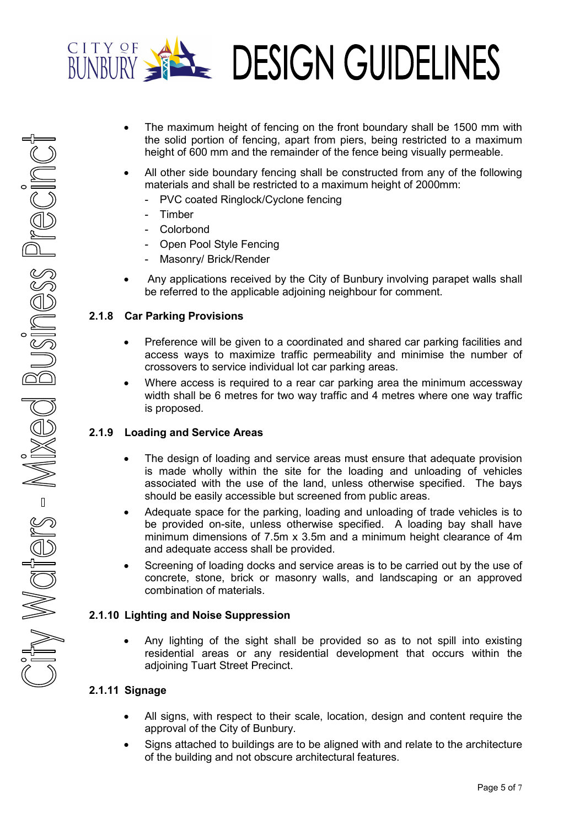

- The maximum height of fencing on the front boundary shall be 1500 mm with the solid portion of fencing, apart from piers, being restricted to a maximum height of 600 mm and the remainder of the fence being visually permeable.
- All other side boundary fencing shall be constructed from any of the following materials and shall be restricted to a maximum height of 2000mm:
	- PVC coated Ringlock/Cyclone fencing
	- Timber
	- **Colorbond**
	- Open Pool Style Fencing
	- Masonry/ Brick/Render
- Any applications received by the City of Bunbury involving parapet walls shall be referred to the applicable adjoining neighbour for comment.

#### **2.1.8 Car Parking Provisions**

- Preference will be given to a coordinated and shared car parking facilities and access ways to maximize traffic permeability and minimise the number of crossovers to service individual lot car parking areas.
- Where access is required to a rear car parking area the minimum accessway width shall be 6 metres for two way traffic and 4 metres where one way traffic is proposed.

#### **2.1.9 Loading and Service Areas**

- The design of loading and service areas must ensure that adequate provision is made wholly within the site for the loading and unloading of vehicles associated with the use of the land, unless otherwise specified. The bays should be easily accessible but screened from public areas.
- Adequate space for the parking, loading and unloading of trade vehicles is to be provided on-site, unless otherwise specified. A loading bay shall have minimum dimensions of 7.5m x 3.5m and a minimum height clearance of 4m and adequate access shall be provided.
- Screening of loading docks and service areas is to be carried out by the use of concrete, stone, brick or masonry walls, and landscaping or an approved combination of materials.

### **2.1.10 Lighting and Noise Suppression**

• Any lighting of the sight shall be provided so as to not spill into existing residential areas or any residential development that occurs within the adjoining Tuart Street Precinct.

### **2.1.11 Signage**

- All signs, with respect to their scale, location, design and content require the approval of the City of Bunbury.
- Signs attached to buildings are to be aligned with and relate to the architecture of the building and not obscure architectural features.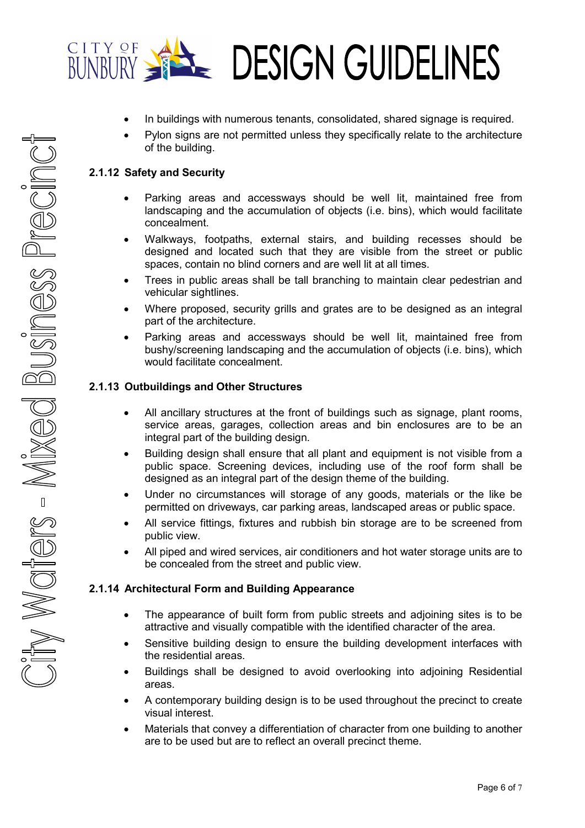

- In buildings with numerous tenants, consolidated, shared signage is required.
- Pylon signs are not permitted unless they specifically relate to the architecture of the building.

## **2.1.12 Safety and Security**

- Parking areas and accessways should be well lit, maintained free from landscaping and the accumulation of objects (i.e. bins), which would facilitate concealment.
- Walkways, footpaths, external stairs, and building recesses should be designed and located such that they are visible from the street or public spaces, contain no blind corners and are well lit at all times.
- Trees in public areas shall be tall branching to maintain clear pedestrian and vehicular sightlines.
- Where proposed, security grills and grates are to be designed as an integral part of the architecture.
- Parking areas and accessways should be well lit, maintained free from bushy/screening landscaping and the accumulation of objects (i.e. bins), which would facilitate concealment.

### **2.1.13 Outbuildings and Other Structures**

- All ancillary structures at the front of buildings such as signage, plant rooms, service areas, garages, collection areas and bin enclosures are to be an integral part of the building design.
- Building design shall ensure that all plant and equipment is not visible from a public space. Screening devices, including use of the roof form shall be designed as an integral part of the design theme of the building.
- Under no circumstances will storage of any goods, materials or the like be permitted on driveways, car parking areas, landscaped areas or public space.
- All service fittings, fixtures and rubbish bin storage are to be screened from public view.
- All piped and wired services, air conditioners and hot water storage units are to be concealed from the street and public view.

### **2.1.14 Architectural Form and Building Appearance**

- The appearance of built form from public streets and adjoining sites is to be attractive and visually compatible with the identified character of the area.
- Sensitive building design to ensure the building development interfaces with the residential areas.
- Buildings shall be designed to avoid overlooking into adjoining Residential areas.
- A contemporary building design is to be used throughout the precinct to create visual interest.
- Materials that convey a differentiation of character from one building to another are to be used but are to reflect an overall precinct theme.